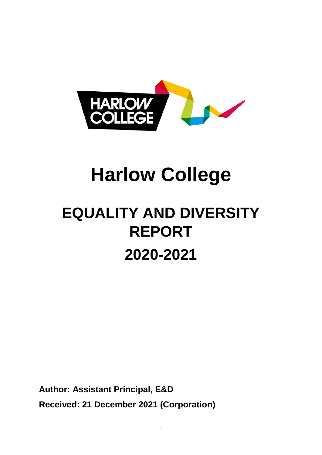

# **Harlow College**

# **EQUALITY AND DIVERSITY REPORT 2020-2021**

**Author: Assistant Principal, E&D Received: 21 December 2021 (Corporation)**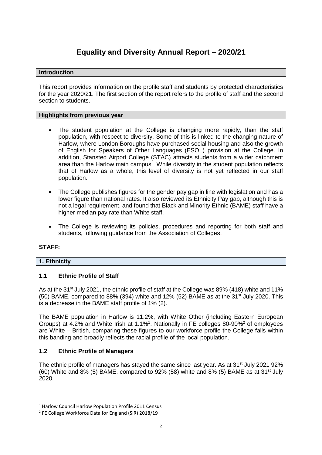# **Equality and Diversity Annual Report – 2020/21**

#### **Introduction**

This report provides information on the profile staff and students by protected characteristics for the year 2020/21. The first section of the report refers to the profile of staff and the second section to students.

#### **Highlights from previous year**

- The student population at the College is changing more rapidly, than the staff population, with respect to diversity. Some of this is linked to the changing nature of Harlow, where London Boroughs have purchased social housing and also the growth of English for Speakers of Other Languages (ESOL) provision at the College. In addition, Stansted Airport College (STAC) attracts students from a wider catchment area than the Harlow main campus. While diversity in the student population reflects that of Harlow as a whole, this level of diversity is not yet reflected in our staff population.
- The College publishes figures for the gender pay gap in line with legislation and has a lower figure than national rates. It also reviewed its Ethnicity Pay gap, although this is not a legal requirement, and found that Black and Minority Ethnic (BAME) staff have a higher median pay rate than White staff.
- The College is reviewing its policies, procedures and reporting for both staff and students, following guidance from the Association of Colleges.

#### **STAFF:**

 $\overline{a}$ 

#### **1. Ethnicity**

#### **1.1 Ethnic Profile of Staff**

As at the 31<sup>st</sup> July 2021, the ethnic profile of staff at the College was 89% (418) white and 11% (50) BAME, compared to 88% (394) white and 12% (52) BAME as at the 31<sup>st</sup> July 2020. This is a decrease in the BAME staff profile of 1% (2).

The BAME population in Harlow is 11.2%, with White Other (including Eastern European Groups) at 4.2% and White Irish at 1.1%<sup>1</sup>. Nationally in FE colleges 80-90%<sup>2</sup> of employees are White – British, comparing these figures to our workforce profile the College falls within this banding and broadly reflects the racial profile of the local population.

#### **1.2 Ethnic Profile of Managers**

The ethnic profile of managers has stayed the same since last year. As at 31<sup>st</sup> July 2021 92%  $(60)$  White and 8% (5) BAME, compared to 92% (58) white and 8% (5) BAME as at 31<sup>st</sup> July 2020.

<sup>1</sup> Harlow Council Harlow Population Profile 2011 Census

<sup>&</sup>lt;sup>2</sup> FE College Workforce Data for England (SIR) 2018/19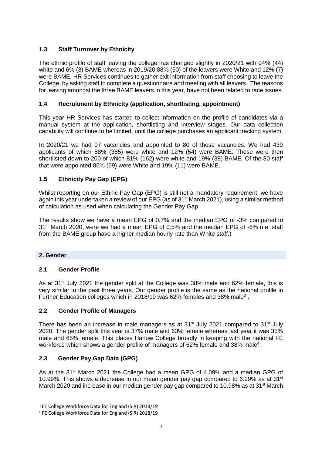### **1.3 Staff Turnover by Ethnicity**

The ethnic profile of staff leaving the college has changed slightly in 2020/21 with 94% (44) white and 6% (3) BAME whereas in 2019/20 88% (50) of the leavers were White and 12% (7) were BAME. HR Services continues to gather exit information from staff choosing to leave the College, by asking staff to complete a questionnaire and meeting with all leavers. The reasons for leaving amongst the three BAME leavers in this year, have not been related to race issues.

#### **1.4 Recruitment by Ethnicity (application, shortlisting, appointment)**

This year HR Services has started to collect information on the profile of candidates via a manual system at the application, shortlisting and interview stages. Our data collection capability will continue to be limited, until the college purchases an applicant tracking system.

In 2020/21 we had 97 vacancies and appointed to 80 of these vacancies. We had 439 applicants of which 88% (385) were white and 12% (54) were BAME. These were then shortlisted down to 200 of which 81% (162) were white and 19% (38) BAME. Of the 80 staff that were appointed 86% (69) were White and 19% (11) were BAME.

#### **1.5 Ethnicity Pay Gap (EPG)**

Whilst reporting on our Ethnic Pay Gap (EPG) is still not a mandatory requirement, we have again this year undertaken a review of our EPG (as of 31<sup>st</sup> March 2021), using a similar method of calculation as used when calculating the Gender Pay Gap.

The results show we have a mean EPG of 0.7% and the median EPG of -3% compared to 31<sup>st</sup> March 2020, were we had a mean EPG of 0.5% and the median EPG of -6% (i.e. staff from the BAME group have a higher median hourly rate than White staff.)

#### **2. Gender**

 $\overline{a}$ 

#### **2.1 Gender Profile**

As at 31<sup>st</sup> July 2021 the gender split at the College was 38% male and 62% female, this is very similar to the past three years. Our gender profile is the same as the national profile in Further Education colleges which in 2018/19 was 62% females and 38% male<sup>3</sup>.

#### **2.2 Gender Profile of Managers**

There has been an increase in male managers as at 31<sup>st</sup> July 2021 compared to 31<sup>st</sup> July 2020. The gender split this year is 37% male and 63% female whereas last year it was 35% male and 65% female. This places Harlow College broadly in keeping with the national FE workforce which shows a gender profile of managers of 62% female and 38% male<sup>4</sup>.

#### **2.3 Gender Pay Gap Data (GPG)**

As at the 31<sup>st</sup> March 2021 the College had a mean GPG of 4.09% and a median GPG of 10.99%. This shows a decrease in our mean gender pay gap compared to 6.29% as at 31 $\mathrm{^{st}}$ March 2020 and increase in our median gender pay gap compared to 10.98% as at 31<sup>st</sup> March

<sup>&</sup>lt;sup>3</sup> FE College Workforce Data for England (SIR) 2018/19

<sup>4</sup> FE College Workforce Data for England (SIR) 2018/19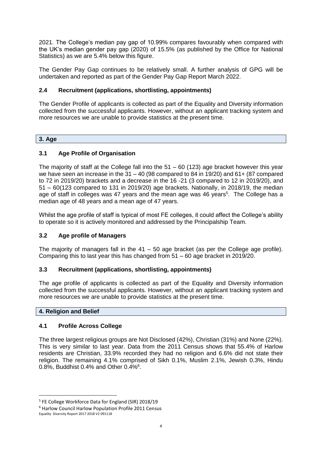2021. The College's median pay gap of 10.99% compares favourably when compared with the UK's median gender pay gap (2020) of 15.5% (as published by the Office for National Statistics) as we are 5.4% below this figure.

The Gender Pay Gap continues to be relatively small. A further analysis of GPG will be undertaken and reported as part of the Gender Pay Gap Report March 2022.

#### **2.4 Recruitment (applications, shortlisting, appointments)**

The Gender Profile of applicants is collected as part of the Equality and Diversity information collected from the successful applicants. However, without an applicant tracking system and more resources we are unable to provide statistics at the present time.

#### **3. Age**

#### **3.1 Age Profile of Organisation**

The majority of staff at the College fall into the  $51 - 60$  (123) age bracket however this year we have seen an increase in the 31 – 40 (98 compared to 84 in 19/20) and 61+ (87 compared to 72 in 2019/20) brackets and a decrease in the 16 -21 (3 compared to 12 in 2019/20), and 51 – 60(123 compared to 131 in 2019/20) age brackets. Nationally, in 2018/19, the median age of staff in colleges was 47 years and the mean age was 46 years<sup>5</sup>. The College has a median age of 48 years and a mean age of 47 years.

Whilst the age profile of staff is typical of most FE colleges, it could affect the College's ability to operate so it is actively monitored and addressed by the Principalship Team.

#### **3.2 Age profile of Managers**

The majority of managers fall in the  $41 - 50$  age bracket (as per the College age profile). Comparing this to last year this has changed from 51 – 60 age bracket in 2019/20.

#### **3.3 Recruitment (applications, shortlisting, appointments)**

The age profile of applicants is collected as part of the Equality and Diversity information collected from the successful applicants. However, without an applicant tracking system and more resources we are unable to provide statistics at the present time.

#### **4. Religion and Belief**

#### **4.1 Profile Across College**

The three largest religious groups are Not Disclosed (42%), Christian (31%) and None (22%). This is very similar to last year. Data from the 2011 Census shows that 55.4% of Harlow residents are Christian, 33.9% recorded they had no religion and 6.6% did not state their religion. The remaining 4.1% comprised of Sikh 0.1%, Muslim 2.1%, Jewish 0.3%, Hindu 0.8%, Buddhist 0.4% and Other 0.4%<sup>6</sup>.

**.** 

<sup>5</sup> FE College Workforce Data for England (SIR) 2018/19

<sup>6</sup> Harlow Council Harlow Population Profile 2011 Census

Equality Diversity Report 2017 2018 V2 091118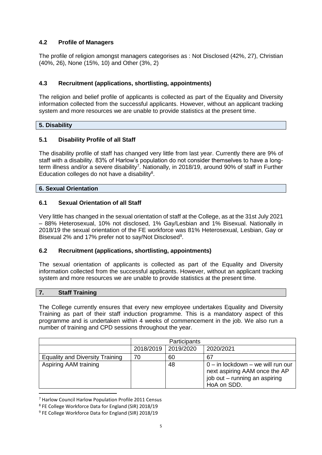#### **4.2 Profile of Managers**

The profile of religion amongst managers categorises as : Not Disclosed (42%, 27), Christian (40%, 26), None (15%, 10) and Other (3%, 2)

#### **4.3 Recruitment (applications, shortlisting, appointments)**

The religion and belief profile of applicants is collected as part of the Equality and Diversity information collected from the successful applicants. However, without an applicant tracking system and more resources we are unable to provide statistics at the present time.

#### **5. Disability**

#### **5.1 Disability Profile of all Staff**

The disability profile of staff has changed very little from last year. Currently there are 9% of staff with a disability. 83% of Harlow's population do not consider themselves to have a longterm illness and/or a severe disability<sup>7</sup>. Nationally, in 2018/19, around 90% of staff in Further Education colleges do not have a disability $8$ .

#### **6. Sexual Orientation**

#### **6.1 Sexual Orientation of all Staff**

Very little has changed in the sexual orientation of staff at the College, as at the 31st July 2021 – 88% Heterosexual, 10% not disclosed, 1% Gay/Lesbian and 1% Bisexual. Nationally in 2018/19 the sexual orientation of the FE workforce was 81% Heterosexual, Lesbian, Gay or Bisexual 2% and 17% prefer not to say/Not Disclosed<sup>9</sup>.

#### **6.2 Recruitment (applications, shortlisting, appointments)**

The sexual orientation of applicants is collected as part of the Equality and Diversity information collected from the successful applicants. However, without an applicant tracking system and more resources we are unable to provide statistics at the present time.

#### **7. Staff Training**

**.** 

The College currently ensures that every new employee undertakes Equality and Diversity Training as part of their staff induction programme. This is a mandatory aspect of this programme and is undertaken within 4 weeks of commencement in the job. We also run a number of training and CPD sessions throughout the year.

|                                        |    | Participants          |                                                                                                                        |
|----------------------------------------|----|-----------------------|------------------------------------------------------------------------------------------------------------------------|
|                                        |    | 2018/2019   2019/2020 | 2020/2021                                                                                                              |
| <b>Equality and Diversity Training</b> | 70 | 60                    | 67                                                                                                                     |
| Aspiring AAM training                  |    | 48                    | $0 - in$ lockdown $-$ we will run our<br>next aspiring AAM once the AP<br>job out - running an aspiring<br>HoA on SDD. |

<sup>7</sup> Harlow Council Harlow Population Profile 2011 Census

<sup>8</sup> FE College Workforce Data for England (SIR) 2018/19

<sup>9</sup> FE College Workforce Data for England (SIR) 2018/19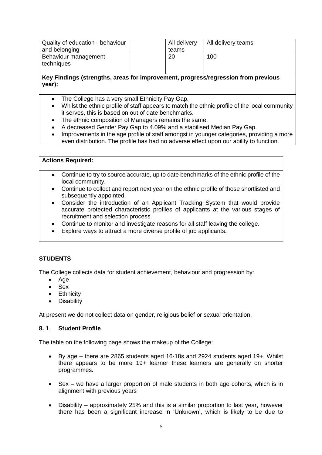| Quality of education - behaviour | All delivery | All delivery teams |
|----------------------------------|--------------|--------------------|
| and belonging                    | teams        |                    |
| Behaviour management             | 20           | 100                |
| techniques                       |              |                    |
|                                  |              |                    |

#### **Key Findings (strengths, areas for improvement, progress/regression from previous year):**

- The College has a very small Ethnicity Pay Gap.
- Whilst the ethnic profile of staff appears to match the ethnic profile of the local community it serves, this is based on out of date benchmarks.
- The ethnic composition of Managers remains the same.
- A decreased Gender Pay Gap to 4.09% and a stabilised Median Pay Gap.
- Improvements in the age profile of staff amongst in younger categories, providing a more even distribution. The profile has had no adverse effect upon our ability to function.

#### **Actions Required:**

- Continue to try to source accurate, up to date benchmarks of the ethnic profile of the local community.
- Continue to collect and report next year on the ethnic profile of those shortlisted and subsequently appointed.
- Consider the introduction of an Applicant Tracking System that would provide accurate protected characteristic profiles of applicants at the various stages of recruitment and selection process.
- Continue to monitor and investigate reasons for all staff leaving the college.
- Explore ways to attract a more diverse profile of job applicants.

#### **STUDENTS**

The College collects data for student achievement, behaviour and progression by:

- Age
- Sex
- Ethnicity
- Disability

At present we do not collect data on gender, religious belief or sexual orientation.

#### **8. 1 Student Profile**

The table on the following page shows the makeup of the College:

- By age there are 2865 students aged 16-18s and 2924 students aged 19+. Whilst there appears to be more 19+ learner these learners are generally on shorter programmes.
- Sex we have a larger proportion of male students in both age cohorts, which is in alignment with previous years
- Disability approximately 25% and this is a similar proportion to last year, however there has been a significant increase in 'Unknown', which is likely to be due to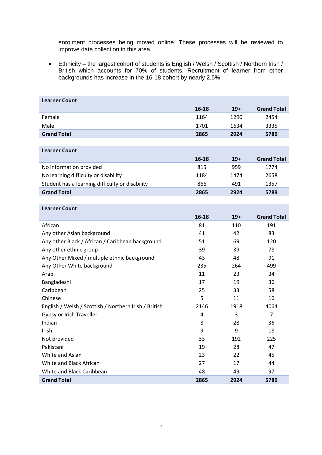enrolment processes being moved online. These processes will be reviewed to improve data collection in this area.

• Ethnicity – the largest cohort of students is English / Welsh / Scottish / Northern Irish / British which accounts for 70% of students. Recruitment of learner from other backgrounds has increase in the 16-18 cohort by nearly 2.5%.

| <b>Learner Count</b>                                  |       |       |                    |
|-------------------------------------------------------|-------|-------|--------------------|
|                                                       | 16-18 | $19+$ | <b>Grand Total</b> |
| Female                                                | 1164  | 1290  | 2454               |
| Male                                                  | 1701  | 1634  | 3335               |
| <b>Grand Total</b>                                    | 2865  | 2924  | 5789               |
|                                                       |       |       |                    |
| <b>Learner Count</b>                                  |       |       |                    |
|                                                       | 16-18 | $19+$ | <b>Grand Total</b> |
| No information provided                               | 815   | 959   | 1774               |
| No learning difficulty or disability                  | 1184  | 1474  | 2658               |
| Student has a learning difficulty or disability       | 866   | 491   | 1357               |
| <b>Grand Total</b>                                    | 2865  | 2924  | 5789               |
|                                                       |       |       |                    |
| <b>Learner Count</b>                                  |       |       |                    |
|                                                       | 16-18 | $19+$ | <b>Grand Total</b> |
| African                                               | 81    | 110   | 191                |
| Any other Asian background                            | 41    | 42    | 83                 |
| Any other Black / African / Caribbean background      | 51    | 69    | 120                |
| Any other ethnic group                                | 39    | 39    | 78                 |
| Any Other Mixed / multiple ethnic background          | 43    | 48    | 91                 |
| Any Other White background                            | 235   | 264   | 499                |
| Arab                                                  | 11    | 23    | 34                 |
| Bangladeshi                                           | 17    | 19    | 36                 |
| Caribbean                                             | 25    | 33    | 58                 |
| Chinese                                               | 5     | 11    | 16                 |
| English / Welsh / Scottish / Northern Irish / British | 2146  | 1918  | 4064               |
| Gypsy or Irish Traveller                              | 4     | 3     | $\overline{7}$     |
| Indian                                                | 8     | 28    | 36                 |
| Irish                                                 | 9     | 9     | 18                 |
| Not provided                                          | 33    | 192   | 225                |
| Pakistani                                             | 19    | 28    | 47                 |
| White and Asian                                       | 23    | 22    | 45                 |
| White and Black African                               | 27    | 17    | 44                 |
| White and Black Caribbean                             | 48    | 49    | 97                 |
| <b>Grand Total</b>                                    | 2865  | 2924  | 5789               |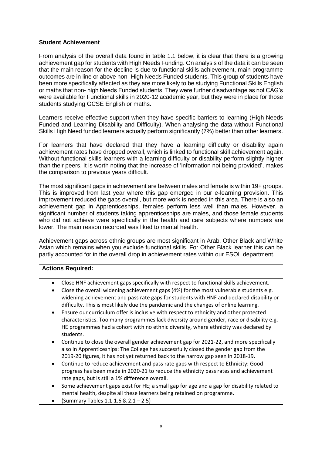#### **Student Achievement**

From analysis of the overall data found in table 1.1 below, it is clear that there is a growing achievement gap for students with High Needs Funding. On analysis of the data it can be seen that the main reason for the decline is due to functional skills achievement, main programme outcomes are in line or above non- High Needs Funded students. This group of students have been more specifically affected as they are more likely to be studying Functional Skills English or maths that non- high Needs Funded students. They were further disadvantage as not CAG's were available for Functional skills in 2020-12 academic year, but they were in place for those students studying GCSE English or maths.

Learners receive effective support when they have specific barriers to learning (High Needs Funded and Learning Disability and Difficulty). When analysing the data without Functional Skills High Need funded learners actually perform significantly (7%) better than other learners.

For learners that have declared that they have a learning difficulty or disability again achievement rates have dropped overall, which is linked to functional skill achievement again. Without functional skills learners with a learning difficulty or disability perform slightly higher than their peers. It is worth noting that the increase of 'information not being provided', makes the comparison to previous years difficult.

The most significant gaps in achievement are between males and female is within 19+ groups. This is improved from last year where this gap emerged in our e-learning provision. This improvement reduced the gaps overall, but more work is needed in this area. There is also an achievement gap in Apprenticeships, females perform less well than males. However, a significant number of students taking apprenticeships are males, and those female students who did not achieve were specifically in the health and care subjects where numbers are lower. The main reason recorded was liked to mental health.

Achievement gaps across ethnic groups are most significant in Arab, Other Black and White Asian which remains when you exclude functional skills. For Other Black learner this can be partly accounted for in the overall drop in achievement rates within our ESOL department.

#### **Actions Required:**

- Close HNF achievement gaps specifically with respect to functional skills achievement.
- Close the overall widening achievement gaps (4%) for the most vulnerable students e.g. widening achievement and pass rate gaps for students with HNF and declared disability or difficulty. This is most likely due the pandemic and the changes of online learning.
- Ensure our curriculum offer is inclusive with respect to ethnicity and other protected characteristics. Too many programmes lack diversity around gender, race or disability e.g. HE programmes had a cohort with no ethnic diversity, where ethnicity was declared by students.
- Continue to close the overall gender achievement gap for 2021-22, and more specifically also in Apprenticeships: The College has successfully closed the gender gap from the 2019-20 figures, it has not yet returned back to the narrow gap seen in 2018-19.
- Continue to reduce achievement and pass rate gaps with respect to Ethnicity: Good progress has been made in 2020-21 to reduce the ethnicity pass rates and achievement rate gaps, but is still a 1% difference overall.
- Some achievement gaps exist for HE; a small gap for age and a gap for disability related to mental health, despite all these learners being retained on programme.
- (Summary Tables 1.1-1.6 & 2.1 2.5)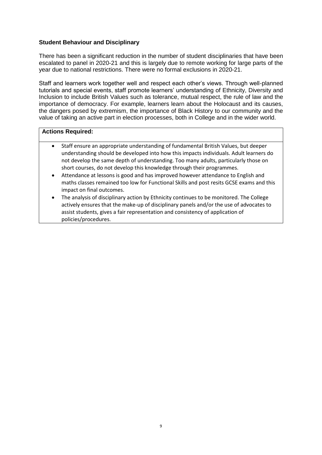#### **Student Behaviour and Disciplinary**

There has been a significant reduction in the number of student disciplinaries that have been escalated to panel in 2020-21 and this is largely due to remote working for large parts of the year due to national restrictions. There were no formal exclusions in 2020-21.

Staff and learners work together well and respect each other's views. Through well-planned tutorials and special events, staff promote learners' understanding of Ethnicity, Diversity and Inclusion to include British Values such as tolerance, mutual respect, the rule of law and the importance of democracy. For example, learners learn about the Holocaust and its causes, the dangers posed by extremism, the importance of Black History to our community and the value of taking an active part in election processes, both in College and in the wider world.

#### **Actions Required:**

- Staff ensure an appropriate understanding of fundamental British Values, but deeper understanding should be developed into how this impacts individuals. Adult learners do not develop the same depth of understanding. Too many adults, particularly those on short courses, do not develop this knowledge through their programmes.
- Attendance at lessons is good and has improved however attendance to English and maths classes remained too low for Functional Skills and post resits GCSE exams and this impact on final outcomes.
- The analysis of disciplinary action by Ethnicity continues to be monitored. The College actively ensures that the make-up of disciplinary panels and/or the use of advocates to assist students, gives a fair representation and consistency of application of policies/procedures.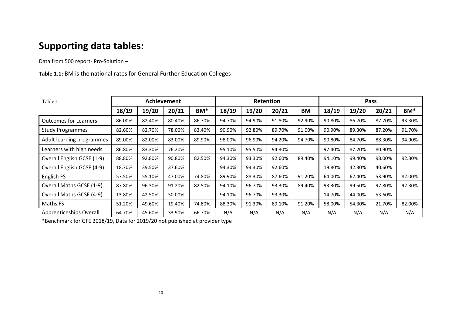# **Supporting data tables:**

Data from 500 report- Pro-Solution –

**Table 1.1:** BM is the national rates for General Further Education Colleges

| Table 1.1                    |        |        | Achievement |        |        | Retention |        |        | Pass   |        |        |                 |
|------------------------------|--------|--------|-------------|--------|--------|-----------|--------|--------|--------|--------|--------|-----------------|
|                              | 18/19  | 19/20  | 20/21       | BM*    | 18/19  | 19/20     | 20/21  | BM     | 18/19  | 19/20  | 20/21  | BM <sup>*</sup> |
| <b>Outcomes for Learners</b> | 86.00% | 82.40% | 80.40%      | 86.70% | 94.70% | 94.90%    | 91.80% | 92.90% | 90.80% | 86.70% | 87.70% | 93.30%          |
| <b>Study Programmes</b>      | 82.60% | 82.70% | 78.00%      | 83.40% | 90.90% | 92.80%    | 89.70% | 91.00% | 90.90% | 89.30% | 87.20% | 91.70%          |
| Adult learning programmes    | 89.00% | 82.00% | 83.00%      | 89.90% | 98.00% | 96.90%    | 94.20% | 94.70% | 90.80% | 84.70% | 88.30% | 94.90%          |
| Learners with high needs     | 86.80% | 83.30% | 76.20%      |        | 95.10% | 95.50%    | 94.30% |        | 97.40% | 87.20% | 80.90% |                 |
| Overall English GCSE (1-9)   | 88.80% | 92.80% | 90.80%      | 82.50% | 94.30% | 93.30%    | 92.60% | 89.40% | 94.10% | 99.40% | 98.00% | 92.30%          |
| Overall English GCSE (4-9)   | 18.70% | 39.50% | 37.60%      |        | 94.30% | 93.30%    | 92.60% |        | 19.80% | 42.30% | 40.60% |                 |
| English FS                   | 57.50% | 55.10% | 47.00%      | 74.80% | 89.90% | 88.30%    | 87.60% | 91.20% | 64.00% | 62.40% | 53.90% | 82.00%          |
| Overall Maths GCSE (1-9)     | 87.80% | 96.30% | 91.20%      | 82.50% | 94.10% | 96.70%    | 93.30% | 89.40% | 93.30% | 99.50% | 97.80% | 92.30%          |
| Overall Maths GCSE (4-9)     | 13.80% | 42.50% | 50.00%      |        | 94.10% | 96.70%    | 93.30% |        | 14.70% | 44.00% | 53.60% |                 |
| Maths FS                     | 51.20% | 49.60% | 19.40%      | 74.80% | 88.30% | 91.30%    | 89.10% | 91.20% | 58.00% | 54.30% | 21.70% | 82.00%          |
| Apprenticeships Overall      | 64.70% | 45.60% | 33.90%      | 66.70% | N/A    | N/A       | N/A    | N/A    | N/A    | N/A    | N/A    | N/A             |

\*Benchmark for GFE 2018/19, Data for 2019/20 not published at provider type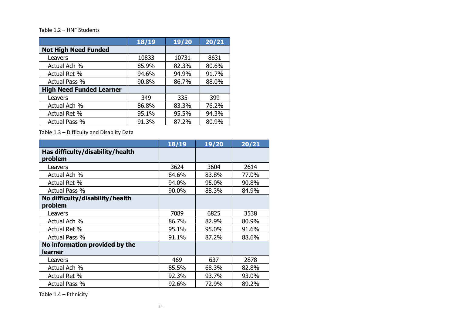#### Table 1.2 – HNF Students

|                                 | 18/19 | 19/20 | 20/21 |
|---------------------------------|-------|-------|-------|
| <b>Not High Need Funded</b>     |       |       |       |
| Leavers                         | 10833 | 10731 | 8631  |
| Actual Ach %                    | 85.9% | 82.3% | 80.6% |
| Actual Ret %                    | 94.6% | 94.9% | 91.7% |
| Actual Pass %                   | 90.8% | 86.7% | 88.0% |
| <b>High Need Funded Learner</b> |       |       |       |
| Leavers                         | 349   | 335   | 399   |
| Actual Ach %                    | 86.8% | 83.3% | 76.2% |
| Actual Ret %                    | 95.1% | 95.5% | 94.3% |
| Actual Pass %                   | 91.3% | 87.2% | 80.9% |

Table 1.3 – Difficulty and Disablity Data

|                                  | 18/19 | 19/20 | 20/21 |
|----------------------------------|-------|-------|-------|
| Has difficulty/disability/health |       |       |       |
| problem                          |       |       |       |
| Leavers                          | 3624  | 3604  | 2614  |
| Actual Ach %                     | 84.6% | 83.8% | 77.0% |
| Actual Ret %                     | 94.0% | 95.0% | 90.8% |
| Actual Pass %                    | 90.0% | 88.3% | 84.9% |
| No difficulty/disability/health  |       |       |       |
| problem                          |       |       |       |
| Leavers                          | 7089  | 6825  | 3538  |
| Actual Ach %                     | 86.7% | 82.9% | 80.9% |
| Actual Ret %                     | 95.1% | 95.0% | 91.6% |
| Actual Pass %                    | 91.1% | 87.2% | 88.6% |
| No information provided by the   |       |       |       |
| learner                          |       |       |       |
| Leavers                          | 469   | 637   | 2878  |
| Actual Ach %                     | 85.5% | 68.3% | 82.8% |
| Actual Ret %                     | 92.3% | 93.7% | 93.0% |
| Actual Pass %                    | 92.6% | 72.9% | 89.2% |

Table 1.4 – Ethnicity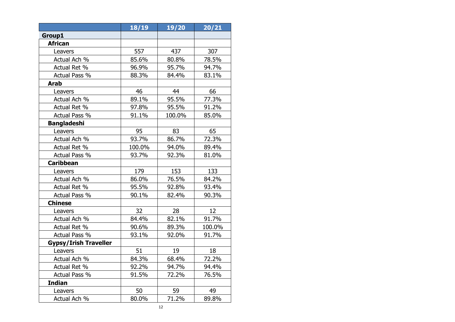|                              | 18/19  | 19/20  | 20/21  |
|------------------------------|--------|--------|--------|
| Group1                       |        |        |        |
| <b>African</b>               |        |        |        |
| Leavers                      | 557    | 437    | 307    |
| Actual Ach %                 | 85.6%  | 80.8%  | 78.5%  |
| Actual Ret %                 | 96.9%  | 95.7%  | 94.7%  |
| Actual Pass %                | 88.3%  | 84.4%  | 83.1%  |
| <b>Arab</b>                  |        |        |        |
| Leavers                      | 46     | 44     | 66     |
| Actual Ach %                 | 89.1%  | 95.5%  | 77.3%  |
| Actual Ret %                 | 97.8%  | 95.5%  | 91.2%  |
| Actual Pass %                | 91.1%  | 100.0% | 85.0%  |
| <b>Bangladeshi</b>           |        |        |        |
| Leavers                      | 95     | 83     | 65     |
| Actual Ach %                 | 93.7%  | 86.7%  | 72.3%  |
| Actual Ret %                 | 100.0% | 94.0%  | 89.4%  |
| Actual Pass %                | 93.7%  | 92.3%  | 81.0%  |
| <b>Caribbean</b>             |        |        |        |
| Leavers                      | 179    | 153    | 133    |
| Actual Ach %                 | 86.0%  | 76.5%  | 84.2%  |
| Actual Ret %                 | 95.5%  | 92.8%  | 93.4%  |
| Actual Pass %                | 90.1%  | 82.4%  | 90.3%  |
| <b>Chinese</b>               |        |        |        |
| Leavers                      | 32     | 28     | 12     |
| Actual Ach %                 | 84.4%  | 82.1%  | 91.7%  |
| Actual Ret %                 | 90.6%  | 89.3%  | 100.0% |
| Actual Pass %                | 93.1%  | 92.0%  | 91.7%  |
| <b>Gypsy/Irish Traveller</b> |        |        |        |
| Leavers                      | 51     | 19     | 18     |
| Actual Ach %                 | 84.3%  | 68.4%  | 72.2%  |
| Actual Ret %                 | 92.2%  | 94.7%  | 94.4%  |
| Actual Pass %                | 91.5%  | 72.2%  | 76.5%  |
| <b>Indian</b>                |        |        |        |
| Leavers                      | 50     | 59     | 49     |
| Actual Ach %                 | 80.0%  | 71.2%  | 89.8%  |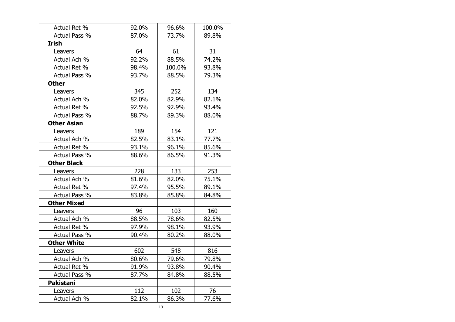| Actual Ret %       | 92.0% | 96.6%  | 100.0% |
|--------------------|-------|--------|--------|
| Actual Pass %      | 87.0% | 73.7%  | 89.8%  |
| <b>Irish</b>       |       |        |        |
| Leavers            | 64    | 61     | 31     |
| Actual Ach %       | 92.2% | 88.5%  | 74.2%  |
| Actual Ret %       | 98.4% | 100.0% | 93.8%  |
| Actual Pass %      | 93.7% | 88.5%  | 79.3%  |
| <b>Other</b>       |       |        |        |
| Leavers            | 345   | 252    | 134    |
| Actual Ach %       | 82.0% | 82.9%  | 82.1%  |
| Actual Ret %       | 92.5% | 92.9%  | 93.4%  |
| Actual Pass %      | 88.7% | 89.3%  | 88.0%  |
| <b>Other Asian</b> |       |        |        |
| Leavers            | 189   | 154    | 121    |
| Actual Ach %       | 82.5% | 83.1%  | 77.7%  |
| Actual Ret %       | 93.1% | 96.1%  | 85.6%  |
| Actual Pass %      | 88.6% | 86.5%  | 91.3%  |
| <b>Other Black</b> |       |        |        |
| Leavers            | 228   | 133    | 253    |
| Actual Ach %       | 81.6% | 82.0%  | 75.1%  |
| Actual Ret %       | 97.4% | 95.5%  | 89.1%  |
| Actual Pass %      | 83.8% | 85.8%  | 84.8%  |
| <b>Other Mixed</b> |       |        |        |
| Leavers            | 96    | 103    | 160    |
| Actual Ach %       | 88.5% | 78.6%  | 82.5%  |
| Actual Ret %       | 97.9% | 98.1%  | 93.9%  |
| Actual Pass %      | 90.4% | 80.2%  | 88.0%  |
| <b>Other White</b> |       |        |        |
| Leavers            | 602   | 548    | 816    |
| Actual Ach %       | 80.6% | 79.6%  | 79.8%  |
| Actual Ret %       | 91.9% | 93.8%  | 90.4%  |
| Actual Pass %      | 87.7% | 84.8%  | 88.5%  |
| Pakistani          |       |        |        |
| Leavers            | 112   | 102    | 76     |
| Actual Ach %       | 82.1% | 86.3%  | 77.6%  |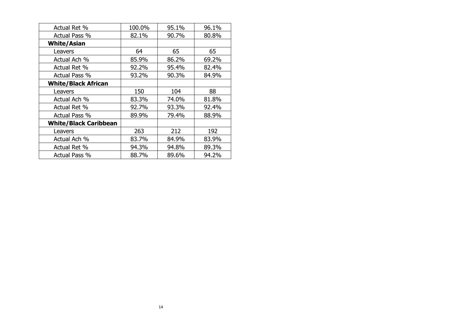| Actual Ret %                 | 100.0% | 95.1% | 96.1% |
|------------------------------|--------|-------|-------|
| Actual Pass %                | 82.1%  | 90.7% | 80.8% |
| <b>White/Asian</b>           |        |       |       |
| Leavers                      | 64     | 65    | 65    |
| Actual Ach %                 | 85.9%  | 86.2% | 69.2% |
| Actual Ret %                 | 92.2%  | 95.4% | 82.4% |
| Actual Pass %                | 93.2%  | 90.3% | 84.9% |
| <b>White/Black African</b>   |        |       |       |
| Leavers                      | 150    | 104   | 88    |
| Actual Ach %                 | 83.3%  | 74.0% | 81.8% |
| Actual Ret %                 | 92.7%  | 93.3% | 92.4% |
| Actual Pass %                | 89.9%  | 79.4% | 88.9% |
| <b>White/Black Caribbean</b> |        |       |       |
| Leavers                      | 263    | 212   | 192   |
| Actual Ach %                 | 83.7%  | 84.9% | 83.9% |
| Actual Ret %                 | 94.3%  | 94.8% | 89.3% |
| Actual Pass %                | 88.7%  | 89.6% | 94.2% |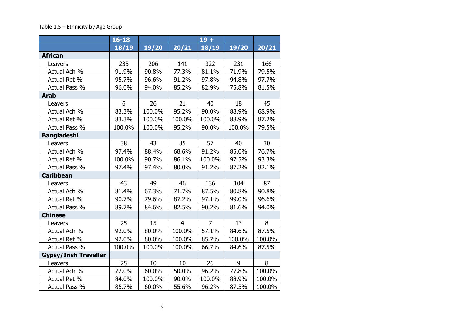#### Table 1.5 – Ethnicity by Age Group

|                              | $16 - 18$ |        |                | $19 +$         |        |        |
|------------------------------|-----------|--------|----------------|----------------|--------|--------|
|                              | 18/19     | 19/20  | 20/21          | 18/19          | 19/20  | 20/21  |
| <b>African</b>               |           |        |                |                |        |        |
| Leavers                      | 235       | 206    | 141            | 322            | 231    | 166    |
| Actual Ach %                 | 91.9%     | 90.8%  | 77.3%          | 81.1%          | 71.9%  | 79.5%  |
| Actual Ret %                 | 95.7%     | 96.6%  | 91.2%          | 97.8%          | 94.8%  | 97.7%  |
| Actual Pass %                | 96.0%     | 94.0%  | 85.2%          | 82.9%          | 75.8%  | 81.5%  |
| <b>Arab</b>                  |           |        |                |                |        |        |
| Leavers                      | 6         | 26     | 21             | 40             | 18     | 45     |
| Actual Ach %                 | 83.3%     | 100.0% | 95.2%          | 90.0%          | 88.9%  | 68.9%  |
| Actual Ret %                 | 83.3%     | 100.0% | 100.0%         | 100.0%         | 88.9%  | 87.2%  |
| Actual Pass %                | 100.0%    | 100.0% | 95.2%          | 90.0%          | 100.0% | 79.5%  |
| <b>Bangladeshi</b>           |           |        |                |                |        |        |
| Leavers                      | 38        | 43     | 35             | 57             | 40     | 30     |
| Actual Ach %                 | 97.4%     | 88.4%  | 68.6%          | 91.2%          | 85.0%  | 76.7%  |
| Actual Ret %                 | 100.0%    | 90.7%  | 86.1%          | 100.0%         | 97.5%  | 93.3%  |
| Actual Pass %                | 97.4%     | 97.4%  | 80.0%          | 91.2%          | 87.2%  | 82.1%  |
| <b>Caribbean</b>             |           |        |                |                |        |        |
| Leavers                      | 43        | 49     | 46             | 136            | 104    | 87     |
| Actual Ach %                 | 81.4%     | 67.3%  | 71.7%          | 87.5%          | 80.8%  | 90.8%  |
| Actual Ret %                 | 90.7%     | 79.6%  | 87.2%          | 97.1%          | 99.0%  | 96.6%  |
| Actual Pass %                | 89.7%     | 84.6%  | 82.5%          | 90.2%          | 81.6%  | 94.0%  |
| <b>Chinese</b>               |           |        |                |                |        |        |
| Leavers                      | 25        | 15     | $\overline{4}$ | $\overline{7}$ | 13     | 8      |
| Actual Ach %                 | 92.0%     | 80.0%  | 100.0%         | 57.1%          | 84.6%  | 87.5%  |
| Actual Ret %                 | 92.0%     | 80.0%  | 100.0%         | 85.7%          | 100.0% | 100.0% |
| Actual Pass %                | 100.0%    | 100.0% | 100.0%         | 66.7%          | 84.6%  | 87.5%  |
| <b>Gypsy/Irish Traveller</b> |           |        |                |                |        |        |
| Leavers                      | 25        | 10     | 10             | 26             | 9      | 8      |
| Actual Ach %                 | 72.0%     | 60.0%  | 50.0%          | 96.2%          | 77.8%  | 100.0% |
| Actual Ret %                 | 84.0%     | 100.0% | 90.0%          | 100.0%         | 88.9%  | 100.0% |
| Actual Pass %                | 85.7%     | 60.0%  | 55.6%          | 96.2%          | 87.5%  | 100.0% |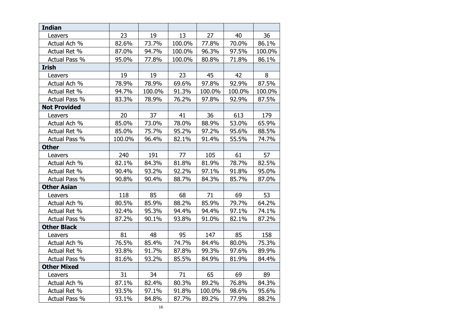| <b>Indian</b>       |        |        |        |        |        |        |
|---------------------|--------|--------|--------|--------|--------|--------|
| Leavers             | 23     | 19     | 13     | 27     | 40     | 36     |
| Actual Ach %        | 82.6%  | 73.7%  | 100.0% | 77.8%  | 70.0%  | 86.1%  |
| Actual Ret %        | 87.0%  | 94.7%  | 100.0% | 96.3%  | 97.5%  | 100.0% |
| Actual Pass %       | 95.0%  | 77.8%  | 100.0% | 80.8%  | 71.8%  | 86.1%  |
| <b>Irish</b>        |        |        |        |        |        |        |
| Leavers             | 19     | 19     | 23     | 45     | 42     | 8      |
| Actual Ach %        | 78.9%  | 78.9%  | 69.6%  | 97.8%  | 92.9%  | 87.5%  |
| Actual Ret %        | 94.7%  | 100.0% | 91.3%  | 100.0% | 100.0% | 100.0% |
| Actual Pass %       | 83.3%  | 78.9%  | 76.2%  | 97.8%  | 92.9%  | 87.5%  |
| <b>Not Provided</b> |        |        |        |        |        |        |
| Leavers             | 20     | 37     | 41     | 36     | 613    | 179    |
| Actual Ach %        | 85.0%  | 73.0%  | 78.0%  | 88.9%  | 53.0%  | 65.9%  |
| Actual Ret %        | 85.0%  | 75.7%  | 95.2%  | 97.2%  | 95.6%  | 88.5%  |
| Actual Pass %       | 100.0% | 96.4%  | 82.1%  | 91.4%  | 55.5%  | 74.7%  |
| <b>Other</b>        |        |        |        |        |        |        |
| Leavers             | 240    | 191    | 77     | 105    | 61     | 57     |
| Actual Ach %        | 82.1%  | 84.3%  | 81.8%  | 81.9%  | 78.7%  | 82.5%  |
| Actual Ret %        | 90.4%  | 93.2%  | 92.2%  | 97.1%  | 91.8%  | 95.0%  |
| Actual Pass %       | 90.8%  | 90.4%  | 88.7%  | 84.3%  | 85.7%  | 87.0%  |
| <b>Other Asian</b>  |        |        |        |        |        |        |
| Leavers             | 118    | 85     | 68     | 71     | 69     | 53     |
| Actual Ach %        | 80.5%  | 85.9%  | 88.2%  | 85.9%  | 79.7%  | 64.2%  |
| Actual Ret %        | 92.4%  | 95.3%  | 94.4%  | 94.4%  | 97.1%  | 74.1%  |
| Actual Pass %       | 87.2%  | 90.1%  | 93.8%  | 91.0%  | 82.1%  | 87.2%  |
| <b>Other Black</b>  |        |        |        |        |        |        |
| Leavers             | 81     | 48     | 95     | 147    | 85     | 158    |
| Actual Ach %        | 76.5%  | 85.4%  | 74.7%  | 84.4%  | 80.0%  | 75.3%  |
| Actual Ret %        | 93.8%  | 91.7%  | 87.8%  | 99.3%  | 97.6%  | 89.9%  |
| Actual Pass %       | 81.6%  | 93.2%  | 85.5%  | 84.9%  | 81.9%  | 84.4%  |
| <b>Other Mixed</b>  |        |        |        |        |        |        |
| Leavers             | 31     | 34     | 71     | 65     | 69     | 89     |
| Actual Ach %        | 87.1%  | 82.4%  | 80.3%  | 89.2%  | 76.8%  | 84.3%  |
| Actual Ret %        | 93.5%  | 97.1%  | 91.8%  | 100.0% | 98.6%  | 95.6%  |
| Actual Pass %       | 93.1%  | 84.8%  | 87.7%  | 89.2%  | 77.9%  | 88.2%  |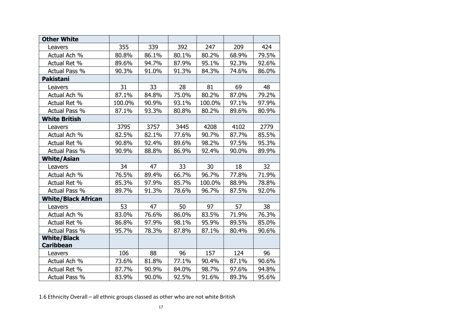| <b>Other White</b>         |        |       |       |        |       |       |
|----------------------------|--------|-------|-------|--------|-------|-------|
| Leavers                    | 355    | 339   | 392   | 247    | 209   | 424   |
| Actual Ach %               | 80.8%  | 86.1% | 80.1% | 80.2%  | 68.9% | 79.5% |
| Actual Ret %               | 89.6%  | 94.7% | 87.9% | 95.1%  | 92.3% | 92.6% |
| Actual Pass %              | 90.3%  | 91.0% | 91.3% | 84.3%  | 74.6% | 86.0% |
| <b>Pakistani</b>           |        |       |       |        |       |       |
| Leavers                    | 31     | 33    | 28    | 81     | 69    | 48    |
| Actual Ach %               | 87.1%  | 84.8% | 75.0% | 80.2%  | 87.0% | 79.2% |
| Actual Ret %               | 100.0% | 90.9% | 93.1% | 100.0% | 97.1% | 97.9% |
| Actual Pass %              | 87.1%  | 93.3% | 80.8% | 80.2%  | 89.6% | 80.9% |
| <b>White British</b>       |        |       |       |        |       |       |
| Leavers                    | 3795   | 3757  | 3445  | 4208   | 4102  | 2779  |
| Actual Ach %               | 82.5%  | 82.1% | 77.6% | 90.7%  | 87.7% | 85.5% |
| Actual Ret %               | 90.8%  | 92.4% | 89.6% | 98.2%  | 97.5% | 95.3% |
| Actual Pass %              | 90.9%  | 88.8% | 86.9% | 92.4%  | 90.0% | 89.9% |
| <b>White/Asian</b>         |        |       |       |        |       |       |
| Leavers                    | 34     | 47    | 33    | 30     | 18    | 32    |
| Actual Ach %               | 76.5%  | 89.4% | 66.7% | 96.7%  | 77.8% | 71.9% |
| Actual Ret %               | 85.3%  | 97.9% | 85.7% | 100.0% | 88.9% | 78.8% |
| Actual Pass %              | 89.7%  | 91.3% | 78.6% | 96.7%  | 87.5% | 92.0% |
| <b>White/Black African</b> |        |       |       |        |       |       |
| Leavers                    | 53     | 47    | 50    | 97     | 57    | 38    |
| Actual Ach %               | 83.0%  | 76.6% | 86.0% | 83.5%  | 71.9% | 76.3% |
| Actual Ret %               | 86.8%  | 97.9% | 98.1% | 95.9%  | 89.5% | 85.0% |
| Actual Pass %              | 95.7%  | 78.3% | 87.8% | 87.1%  | 80.4% | 90.6% |
| <b>White/Black</b>         |        |       |       |        |       |       |
| <b>Caribbean</b>           |        |       |       |        |       |       |
| Leavers                    | 106    | 88    | 96    | 157    | 124   | 96    |
| Actual Ach %               | 73.6%  | 81.8% | 77.1% | 90.4%  | 87.1% | 90.6% |
| Actual Ret %               | 87.7%  | 90.9% | 84.0% | 98.7%  | 97.6% | 94.8% |
| Actual Pass %              | 83.9%  | 90.0% | 92.5% | 91.6%  | 89.3% | 95.6% |

1.6 Ethnicity Overall – all ethnic groups classed as other who are not white British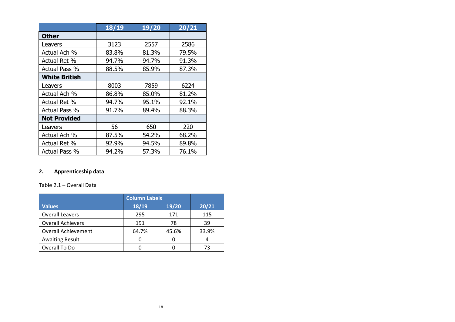|                      | 18/19 | 19/20 | 20/21 |
|----------------------|-------|-------|-------|
| <b>Other</b>         |       |       |       |
| Leavers              | 3123  | 2557  | 2586  |
| Actual Ach %         | 83.8% | 81.3% | 79.5% |
| Actual Ret %         | 94.7% | 94.7% | 91.3% |
| Actual Pass %        | 88.5% | 85.9% | 87.3% |
| <b>White British</b> |       |       |       |
| Leavers              | 8003  | 7859  | 6224  |
| Actual Ach %         | 86.8% | 85.0% | 81.2% |
| Actual Ret %         | 94.7% | 95.1% | 92.1% |
| <b>Actual Pass %</b> | 91.7% | 89.4% | 88.3% |
| <b>Not Provided</b>  |       |       |       |
| Leavers              | 56    | 650   | 220   |
| Actual Ach %         | 87.5% | 54.2% | 68.2% |
| Actual Ret %         | 92.9% | 94.5% | 89.8% |
| Actual Pass %        | 94.2% | 57.3% | 76.1% |

### **2. Apprenticeship data**

#### Table 2.1 – Overall Data

|                            | <b>Column Labels</b> |       |       |
|----------------------------|----------------------|-------|-------|
| <b>Values</b>              | 18/19                | 19/20 | 20/21 |
| <b>Overall Leavers</b>     | 295                  | 171   | 115   |
| <b>Overall Achievers</b>   | 191                  | 78    | 39    |
| <b>Overall Achievement</b> | 64.7%                | 45.6% | 33.9% |
| <b>Awaiting Result</b>     |                      |       |       |
| Overall To Do              |                      |       | 73    |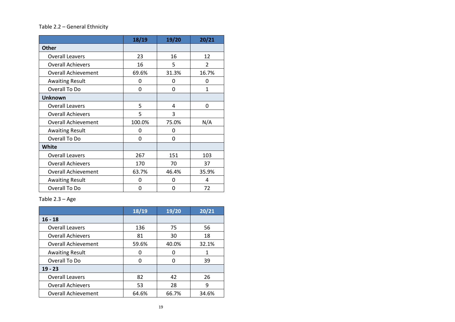#### Table 2.2 – General Ethnicity

|                            | 18/19  | 19/20 | 20/21 |
|----------------------------|--------|-------|-------|
| <b>Other</b>               |        |       |       |
| <b>Overall Leavers</b>     | 23     | 16    | 12    |
| <b>Overall Achievers</b>   | 16     | 5     | 2     |
| <b>Overall Achievement</b> | 69.6%  | 31.3% | 16.7% |
| <b>Awaiting Result</b>     | 0      | 0     | 0     |
| Overall To Do              | 0      | 0     | 1     |
| <b>Unknown</b>             |        |       |       |
| <b>Overall Leavers</b>     | 5      | 4     | 0     |
| <b>Overall Achievers</b>   | 5      | 3     |       |
| <b>Overall Achievement</b> | 100.0% | 75.0% | N/A   |
| <b>Awaiting Result</b>     | 0      | 0     |       |
| Overall To Do              | 0      | 0     |       |
| <b>White</b>               |        |       |       |
| <b>Overall Leavers</b>     | 267    | 151   | 103   |
| <b>Overall Achievers</b>   | 170    | 70    | 37    |
| <b>Overall Achievement</b> | 63.7%  | 46.4% | 35.9% |
| <b>Awaiting Result</b>     | 0      | 0     | 4     |
| Overall To Do              | 0      | 0     | 72    |

Table 2.3 – Age

|                            | 18/19 | 19/20 | 20/21 |
|----------------------------|-------|-------|-------|
| $16 - 18$                  |       |       |       |
| <b>Overall Leavers</b>     | 136   | 75    | 56    |
| <b>Overall Achievers</b>   | 81    | 30    | 18    |
| <b>Overall Achievement</b> | 59.6% | 40.0% | 32.1% |
| <b>Awaiting Result</b>     | 0     | O     | 1     |
| Overall To Do              | O     | O     | 39    |
| $19 - 23$                  |       |       |       |
| <b>Overall Leavers</b>     | 82    | 42    | 26    |
| <b>Overall Achievers</b>   | 53    | 28    | 9     |
| <b>Overall Achievement</b> | 64.6% | 66.7% | 34.6% |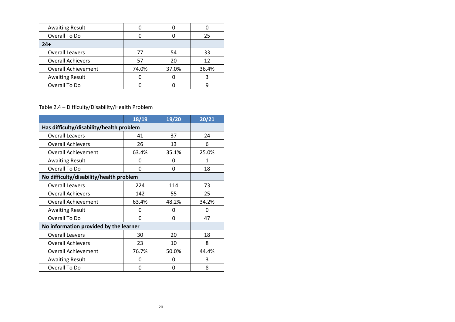| <b>Awaiting Result</b>     |       |       |       |
|----------------------------|-------|-------|-------|
| Overall To Do              |       |       | 25    |
| $24+$                      |       |       |       |
| <b>Overall Leavers</b>     | 77    | 54    | 33    |
| <b>Overall Achievers</b>   | .57   | 20    | 12    |
| <b>Overall Achievement</b> | 74.0% | 37.0% | 36.4% |
| <b>Awaiting Result</b>     |       |       |       |
| Overall To Do              |       |       |       |

## Table 2.4 – Difficulty/Disability/Health Problem

|                                          | 18/19 | 19/20 | 20/21 |
|------------------------------------------|-------|-------|-------|
| Has difficulty/disability/health problem |       |       |       |
| <b>Overall Leavers</b>                   | 41    | 37    | 24    |
| <b>Overall Achievers</b>                 | 26    | 13    | 6     |
| <b>Overall Achievement</b>               | 63.4% | 35.1% | 25.0% |
| <b>Awaiting Result</b>                   | 0     | 0     | 1     |
| Overall To Do                            | 0     | 0     | 18    |
| No difficulty/disability/health problem  |       |       |       |
| <b>Overall Leavers</b>                   | 224   | 114   | 73    |
| <b>Overall Achievers</b>                 | 142   | 55    | 25    |
| <b>Overall Achievement</b>               | 63.4% | 48.2% | 34.2% |
| <b>Awaiting Result</b>                   | 0     | 0     | 0     |
| Overall To Do                            | 0     | 0     | 47    |
| No information provided by the learner   |       |       |       |
| <b>Overall Leavers</b>                   | 30    | 20    | 18    |
| <b>Overall Achievers</b>                 | 23    | 10    | 8     |
| <b>Overall Achievement</b>               | 76.7% | 50.0% | 44.4% |
| <b>Awaiting Result</b>                   | 0     | 0     | 3     |
| Overall To Do                            | 0     | 0     | 8     |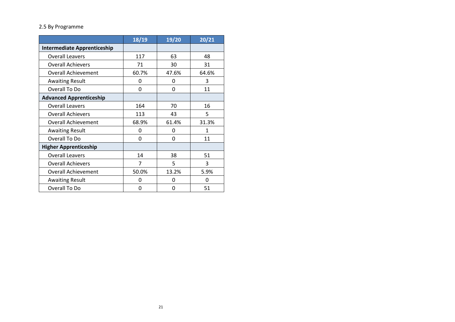#### 2.5 By Programme

|                                    | 18/19          | 19/20 | 20/21 |
|------------------------------------|----------------|-------|-------|
| <b>Intermediate Apprenticeship</b> |                |       |       |
| <b>Overall Leavers</b>             | 117            | 63    | 48    |
| <b>Overall Achievers</b>           | 71             | 30    | 31    |
| <b>Overall Achievement</b>         | 60.7%          | 47.6% | 64.6% |
| <b>Awaiting Result</b>             | 0              | 0     | 3     |
| Overall To Do                      | 0              | 0     | 11    |
| <b>Advanced Apprenticeship</b>     |                |       |       |
| <b>Overall Leavers</b>             | 164            | 70    | 16    |
| <b>Overall Achievers</b>           | 113            | 43    | 5     |
| <b>Overall Achievement</b>         | 68.9%          | 61.4% | 31.3% |
| <b>Awaiting Result</b>             | 0              | O     | 1     |
| Overall To Do                      | 0              | 0     | 11    |
| <b>Higher Apprenticeship</b>       |                |       |       |
| <b>Overall Leavers</b>             | 14             | 38    | 51    |
| <b>Overall Achievers</b>           | $\overline{7}$ | 5     | 3     |
| <b>Overall Achievement</b>         | 50.0%          | 13.2% | 5.9%  |
| <b>Awaiting Result</b>             | O              | O     | O     |
| Overall To Do                      | 0              | 0     | 51    |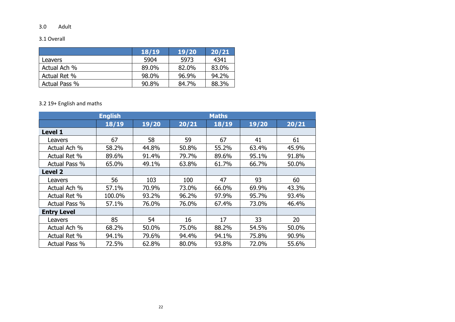#### 3.0 Adult

#### 3.1 Overall

|               | <b>18/19</b> | 19/20 | 20/21 |
|---------------|--------------|-------|-------|
| Leavers       | 5904         | 5973  | 4341  |
| Actual Ach %  | 89.0%        | 82.0% | 83.0% |
| Actual Ret %  | 98.0%        | 96.9% | 94.2% |
| Actual Pass % | 90.8%        | 84.7% | 88.3% |

#### 3.2 19+ English and maths

|                    | <b>English</b> |       |       | <b>Maths</b> |       |       |
|--------------------|----------------|-------|-------|--------------|-------|-------|
|                    | 18/19          | 19/20 | 20/21 | 18/19        | 19/20 | 20/21 |
| <b>Level 1</b>     |                |       |       |              |       |       |
| Leavers            | 67             | 58    | 59    | 67           | 41    | 61    |
| Actual Ach %       | 58.2%          | 44.8% | 50.8% | 55.2%        | 63.4% | 45.9% |
| Actual Ret %       | 89.6%          | 91.4% | 79.7% | 89.6%        | 95.1% | 91.8% |
| Actual Pass %      | 65.0%          | 49.1% | 63.8% | 61.7%        | 66.7% | 50.0% |
| <b>Level 2</b>     |                |       |       |              |       |       |
| Leavers            | 56             | 103   | 100   | 47           | 93    | 60    |
| Actual Ach %       | 57.1%          | 70.9% | 73.0% | 66.0%        | 69.9% | 43.3% |
| Actual Ret %       | 100.0%         | 93.2% | 96.2% | 97.9%        | 95.7% | 93.4% |
| Actual Pass %      | 57.1%          | 76.0% | 76.0% | 67.4%        | 73.0% | 46.4% |
| <b>Entry Level</b> |                |       |       |              |       |       |
| Leavers            | 85             | 54    | 16    | 17           | 33    | 20    |
| Actual Ach %       | 68.2%          | 50.0% | 75.0% | 88.2%        | 54.5% | 50.0% |
| Actual Ret %       | 94.1%          | 79.6% | 94.4% | 94.1%        | 75.8% | 90.9% |
| Actual Pass %      | 72.5%          | 62.8% | 80.0% | 93.8%        | 72.0% | 55.6% |